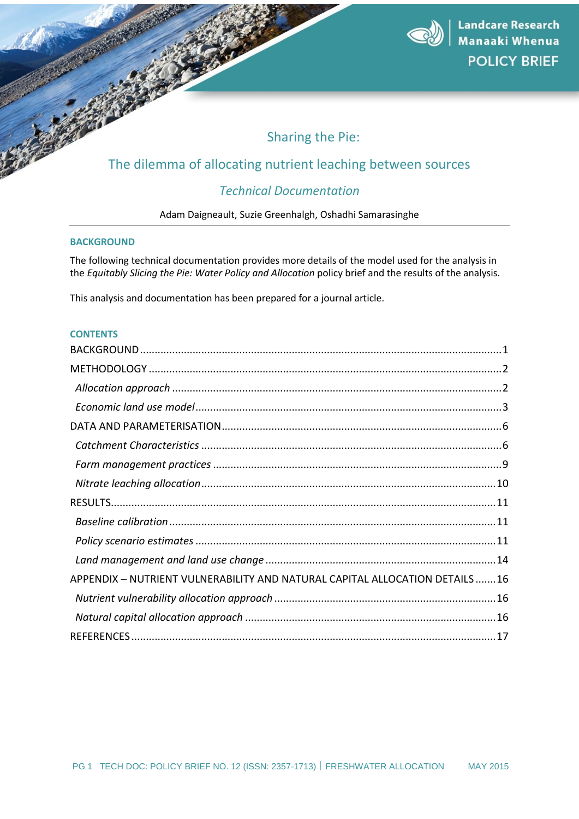

# Sharing the Pie:

## The dilemma of allocating nutrient leaching between sources

## *Technical Documentation*

Adam Daigneault, Suzie Greenhalgh, Oshadhi Samarasinghe

## <span id="page-0-0"></span>**BACKGROUND**

The following technical documentation provides more details of the model used for the analysis in the *Equitably Slicing the Pie: Water Policy and Allocation* policy brief and the results of the analysis.

This analysis and documentation has been prepared for a journal article.

### **CONTENTS**

| APPENDIX - NUTRIENT VULNERABILITY AND NATURAL CAPITAL ALLOCATION DETAILS 16 |
|-----------------------------------------------------------------------------|
|                                                                             |
|                                                                             |
|                                                                             |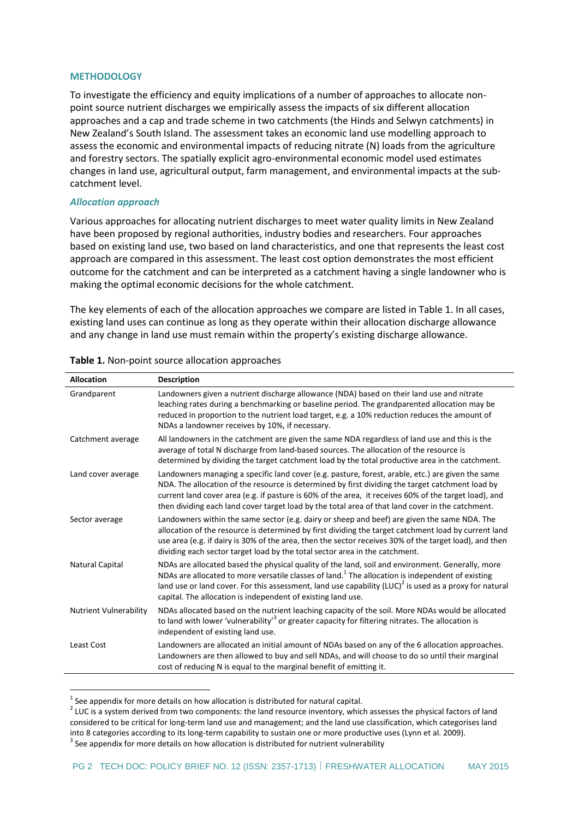#### <span id="page-1-0"></span>**METHODOLOGY**

To investigate the efficiency and equity implications of a number of approaches to allocate nonpoint source nutrient discharges we empirically assess the impacts of six different allocation approaches and a cap and trade scheme in two catchments (the Hinds and Selwyn catchments) in New Zealand's South Island. The assessment takes an economic land use modelling approach to assess the economic and environmental impacts of reducing nitrate (N) loads from the agriculture and forestry sectors. The spatially explicit agro-environmental economic model used estimates changes in land use, agricultural output, farm management, and environmental impacts at the subcatchment level.

#### <span id="page-1-1"></span>*Allocation approach*

1

Various approaches for allocating nutrient discharges to meet water quality limits in New Zealand have been proposed by regional authorities, industry bodies and researchers. Four approaches based on existing land use, two based on land characteristics, and one that represents the least cost approach are compared in this assessment. The least cost option demonstrates the most efficient outcome for the catchment and can be interpreted as a catchment having a single landowner who is making the optimal economic decisions for the whole catchment.

The key elements of each of the allocation approaches we compare are listed i[n Table 1.](#page-1-2) In all cases, existing land uses can continue as long as they operate within their allocation discharge allowance and any change in land use must remain within the property's existing discharge allowance.

| <b>Allocation</b>             | <b>Description</b>                                                                                                                                                                                                                                                                                                                                                                                                 |
|-------------------------------|--------------------------------------------------------------------------------------------------------------------------------------------------------------------------------------------------------------------------------------------------------------------------------------------------------------------------------------------------------------------------------------------------------------------|
| Grandparent                   | Landowners given a nutrient discharge allowance (NDA) based on their land use and nitrate<br>leaching rates during a benchmarking or baseline period. The grandparented allocation may be<br>reduced in proportion to the nutrient load target, e.g. a 10% reduction reduces the amount of<br>NDAs a landowner receives by 10%, if necessary.                                                                      |
| Catchment average             | All landowners in the catchment are given the same NDA regardless of land use and this is the<br>average of total N discharge from land-based sources. The allocation of the resource is<br>determined by dividing the target catchment load by the total productive area in the catchment.                                                                                                                        |
| Land cover average            | Landowners managing a specific land cover (e.g. pasture, forest, arable, etc.) are given the same<br>NDA. The allocation of the resource is determined by first dividing the target catchment load by<br>current land cover area (e.g. if pasture is 60% of the area, it receives 60% of the target load), and<br>then dividing each land cover target load by the total area of that land cover in the catchment. |
| Sector average                | Landowners within the same sector (e.g. dairy or sheep and beef) are given the same NDA. The<br>allocation of the resource is determined by first dividing the target catchment load by current land<br>use area (e.g. if dairy is 30% of the area, then the sector receives 30% of the target load), and then<br>dividing each sector target load by the total sector area in the catchment.                      |
| Natural Capital               | NDAs are allocated based the physical quality of the land, soil and environment. Generally, more<br>NDAs are allocated to more versatile classes of land. <sup>1</sup> The allocation is independent of existing<br>land use or land cover. For this assessment, land use capability $(LUC)^2$ is used as a proxy for natural<br>capital. The allocation is independent of existing land use.                      |
| <b>Nutrient Vulnerability</b> | NDAs allocated based on the nutrient leaching capacity of the soil. More NDAs would be allocated<br>to land with lower 'vulnerability' <sup>3</sup> or greater capacity for filtering nitrates. The allocation is<br>independent of existing land use.                                                                                                                                                             |
| Least Cost                    | Landowners are allocated an initial amount of NDAs based on any of the 6 allocation approaches.<br>Landowners are then allowed to buy and sell NDAs, and will choose to do so until their marginal<br>cost of reducing N is equal to the marginal benefit of emitting it.                                                                                                                                          |

#### <span id="page-1-2"></span>**Table 1.** Non-point source allocation approaches

 $<sup>1</sup>$  See appendix for more details on how allocation is distributed for natural capital.</sup>

 $2$  LUC is a system derived from two components: the land resource inventory, which assesses the physical factors of land considered to be critical for long-term land use and management; and the land use classification, which categorises land into 8 categories according to its long-term capability to sustain one or more productive uses (Lynn et al. 2009).  $3$  See appendix for more details on how allocation is distributed for nutrient vulnerability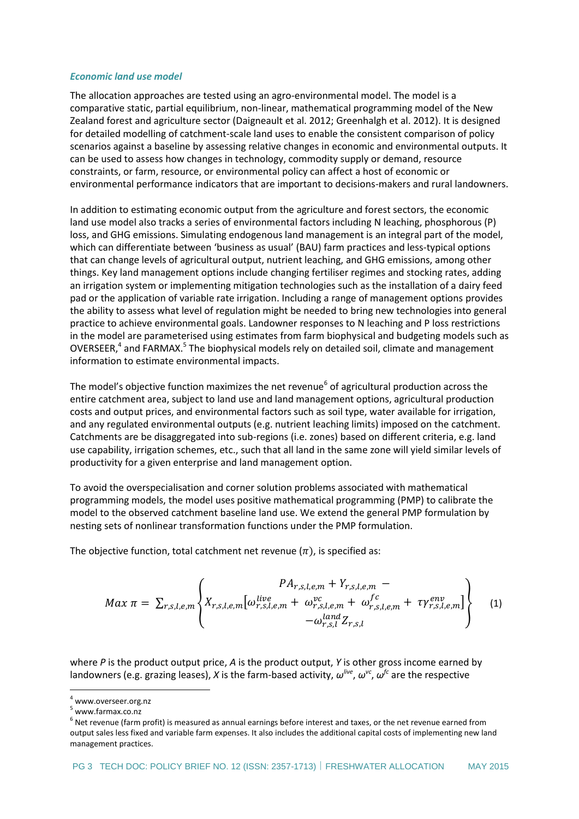#### <span id="page-2-0"></span>*Economic land use model*

The allocation approaches are tested using an agro-environmental model. The model is a comparative static, partial equilibrium, non-linear, mathematical programming model of the New Zealand forest and agriculture sector (Daigneault et al. 2012; Greenhalgh et al. 2012). It is designed for detailed modelling of catchment-scale land uses to enable the consistent comparison of policy scenarios against a baseline by assessing relative changes in economic and environmental outputs. It can be used to assess how changes in technology, commodity supply or demand, resource constraints, or farm, resource, or environmental policy can affect a host of economic or environmental performance indicators that are important to decisions-makers and rural landowners.

In addition to estimating economic output from the agriculture and forest sectors, the economic land use model also tracks a series of environmental factors including N leaching, phosphorous (P) loss, and GHG emissions. Simulating endogenous land management is an integral part of the model, which can differentiate between 'business as usual' (BAU) farm practices and less-typical options that can change levels of agricultural output, nutrient leaching, and GHG emissions, among other things. Key land management options include changing fertiliser regimes and stocking rates, adding an irrigation system or implementing mitigation technologies such as the installation of a dairy feed pad or the application of variable rate irrigation. Including a range of management options provides the ability to assess what level of regulation might be needed to bring new technologies into general practice to achieve environmental goals. Landowner responses to N leaching and P loss restrictions in the model are parameterised using estimates from farm biophysical and budgeting models such as OVERSEER,<sup>4</sup> and FARMAX.<sup>5</sup> The biophysical models rely on detailed soil, climate and management information to estimate environmental impacts.

The model's objective function maximizes the net revenue<sup>6</sup> of agricultural production across the entire catchment area, subject to land use and land management options, agricultural production costs and output prices, and environmental factors such as soil type, water available for irrigation, and any regulated environmental outputs (e.g. nutrient leaching limits) imposed on the catchment. Catchments are be disaggregated into sub-regions (i.e. zones) based on different criteria, e.g. land use capability, irrigation schemes, etc., such that all land in the same zone will yield similar levels of productivity for a given enterprise and land management option.

To avoid the overspecialisation and corner solution problems associated with mathematical programming models, the model uses positive mathematical programming (PMP) to calibrate the model to the observed catchment baseline land use. We extend the general PMP formulation by nesting sets of nonlinear transformation functions under the PMP formulation.

The objective function, total catchment net revenue  $(\pi)$ , is specified as:

$$
Max \pi = \sum_{r,s,l,e,m} \left\{ X_{r,s,l,e,m} \left[ \omega_{r,s,l,e,m}^{live} + \omega_{r,s,l,e,m}^{vc} + \omega_{r,s,l,e,m}^{fc} + \tau \gamma_{r,s,l,e,m}^{env} \right] \right\}
$$
(1)

where *P* is the product output price, *A* is the product output, *Y* is other gross income earned by landowners (e.g. grazing leases), *X* is the farm-based activity,  $ω^{live}$ ,  $ω^{vc}$ ,  $ω^{fc}$  are the respective

1

<sup>4</sup> www.overseer.org.nz

<sup>5</sup> www.farmax.co.nz

 $^6$  Net revenue (farm profit) is measured as annual earnings before interest and taxes, or the net revenue earned from output sales less fixed and variable farm expenses. It also includes the additional capital costs of implementing new land management practices.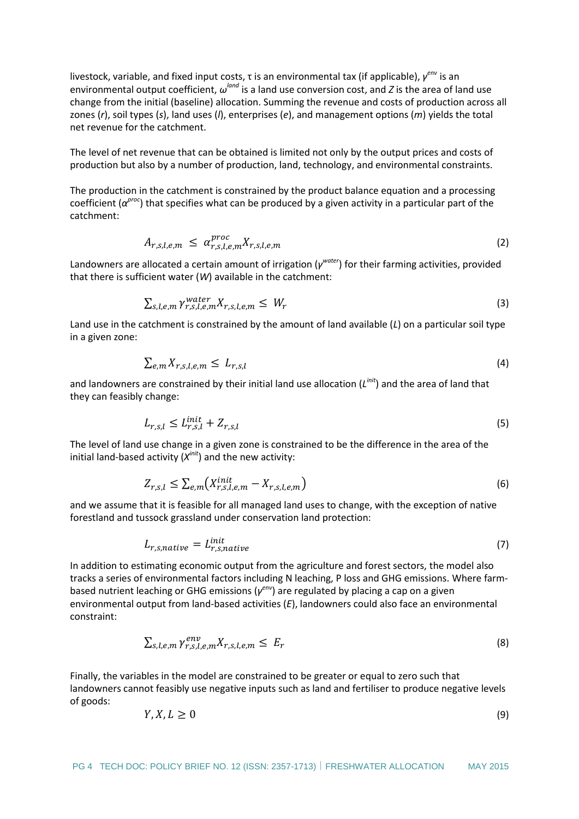livestock, variable, and fixed input costs, τ is an environmental tax (if applicable),  $γ^{env}$  is an environmental output coefficient,  $ω^{land}$  is a land use conversion cost, and *Z* is the area of land use change from the initial (baseline) allocation. Summing the revenue and costs of production across all zones (*r*), soil types (*s*), land uses (*l*), enterprises (*e*), and management options (*m*) yields the total net revenue for the catchment.

The level of net revenue that can be obtained is limited not only by the output prices and costs of production but also by a number of production, land, technology, and environmental constraints.

The production in the catchment is constrained by the product balance equation and a processing coefficient (*α proc*) that specifies what can be produced by a given activity in a particular part of the catchment:

$$
A_{r,s,l,e,m} \leq \alpha_{r,s,l,e,m}^{proc} X_{r,s,l,e,m} \tag{2}
$$

Landowners are allocated a certain amount of irrigation (*γ water*) for their farming activities, provided that there is sufficient water (*W*) available in the catchment:

$$
\sum_{s,l,e,m} \gamma_{r,s,l,e,m}^{water} X_{r,s,l,e,m} \leq W_r \tag{3}
$$

Land use in the catchment is constrained by the amount of land available (*L*) on a particular soil type in a given zone:

$$
\sum_{e,m} X_{r,s,l,e,m} \leq L_{r,s,l} \tag{4}
$$

and landowners are constrained by their initial land use allocation (*L init*) and the area of land that they can feasibly change:

$$
L_{r,s,l} \le L_{r,s,l}^{init} + Z_{r,s,l} \tag{5}
$$

The level of land use change in a given zone is constrained to be the difference in the area of the initial land-based activity (X<sup>init</sup>) and the new activity:

$$
Z_{r,s,l} \le \sum_{e,m} \left( X_{r,s,l,e,m}^{init} - X_{r,s,l,e,m} \right) \tag{6}
$$

and we assume that it is feasible for all managed land uses to change, with the exception of native forestland and tussock grassland under conservation land protection:

$$
L_{r,s,native} = L_{r,s,native}^{init} \tag{7}
$$

In addition to estimating economic output from the agriculture and forest sectors, the model also tracks a series of environmental factors including N leaching, P loss and GHG emissions. Where farmbased nutrient leaching or GHG emissions (γ<sup>*env*</sup>) are regulated by placing a cap on a given environmental output from land-based activities (*E*), landowners could also face an environmental constraint:

$$
\sum_{s,l,e,m} \gamma_{r,s,l,e,m}^{env} X_{r,s,l,e,m} \leq E_r \tag{8}
$$

Finally, the variables in the model are constrained to be greater or equal to zero such that landowners cannot feasibly use negative inputs such as land and fertiliser to produce negative levels of goods:

$$
Y, X, L \ge 0 \tag{9}
$$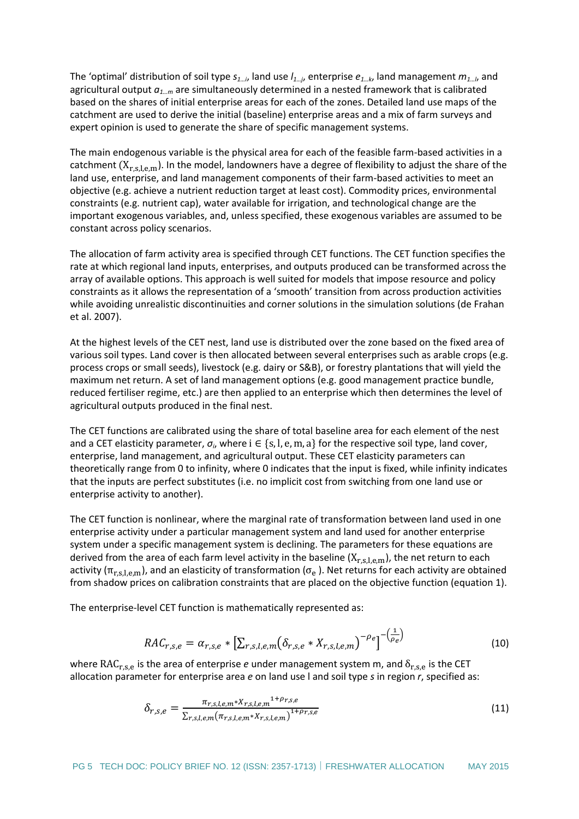The 'optimal' distribution of soil type *s1…i*, land use *l1…j*, enterprise *e1…k*, land management *m1…l*, and agricultural output *a1…m* are simultaneously determined in a nested framework that is calibrated based on the shares of initial enterprise areas for each of the zones. Detailed land use maps of the catchment are used to derive the initial (baseline) enterprise areas and a mix of farm surveys and expert opinion is used to generate the share of specific management systems.

The main endogenous variable is the physical area for each of the feasible farm-based activities in a catchment  $(X_{r,s,k,m})$ . In the model, landowners have a degree of flexibility to adjust the share of the land use, enterprise, and land management components of their farm-based activities to meet an objective (e.g. achieve a nutrient reduction target at least cost). Commodity prices, environmental constraints (e.g. nutrient cap), water available for irrigation, and technological change are the important exogenous variables, and, unless specified, these exogenous variables are assumed to be constant across policy scenarios.

The allocation of farm activity area is specified through CET functions. The CET function specifies the rate at which regional land inputs, enterprises, and outputs produced can be transformed across the array of available options. This approach is well suited for models that impose resource and policy constraints as it allows the representation of a 'smooth' transition from across production activities while avoiding unrealistic discontinuities and corner solutions in the simulation solutions (de Frahan et al. 2007).

At the highest levels of the CET nest, land use is distributed over the zone based on the fixed area of various soil types. Land cover is then allocated between several enterprises such as arable crops (e.g. process crops or small seeds), livestock (e.g. dairy or S&B), or forestry plantations that will yield the maximum net return. A set of land management options (e.g. good management practice bundle, reduced fertiliser regime, etc.) are then applied to an enterprise which then determines the level of agricultural outputs produced in the final nest.

The CET functions are calibrated using the share of total baseline area for each element of the nest and a CET elasticity parameter,  $\sigma_i$ , where  $i \in \{s, l, e, m, a\}$  for the respective soil type, land cover, enterprise, land management, and agricultural output. These CET elasticity parameters can theoretically range from 0 to infinity, where 0 indicates that the input is fixed, while infinity indicates that the inputs are perfect substitutes (i.e. no implicit cost from switching from one land use or enterprise activity to another).

The CET function is nonlinear, where the marginal rate of transformation between land used in one enterprise activity under a particular management system and land used for another enterprise system under a specific management system is declining. The parameters for these equations are derived from the area of each farm level activity in the baseline  $(X_{r,s,l,e,m})$ , the net return to each activity ( $\pi_{r,s,l,e,m}$ ), and an elasticity of transformation ( $\sigma_e$ ). Net returns for each activity are obtained from shadow prices on calibration constraints that are placed on the objective function (equation 1).

The enterprise-level CET function is mathematically represented as:

$$
RAC_{r,s,e} = \alpha_{r,s,e} * [\Sigma_{r,s,l,e,m} (\delta_{r,s,e} * X_{r,s,l,e,m})^{-\rho_e}]^{-\left(\frac{1}{\rho_e}\right)}
$$
(10)

where RAC<sub>r,s,e</sub> is the area of enterprise *e* under management system m, and  $\delta_{r,s,e}$  is the CET allocation parameter for enterprise area *e* on land use l and soil type *s* in region *r*, specified as:

$$
\delta_{r,s,e} = \frac{\pi_{r,s,l,e,m} * X_{r,s,l,e,m}^{1+\rho_{r,s,e}}}{\sum_{r,s,l,e,m} (\pi_{r,s,l,e,m} * X_{r,s,l,e,m})^{1+\rho_{r,s,e}}}
$$
(11)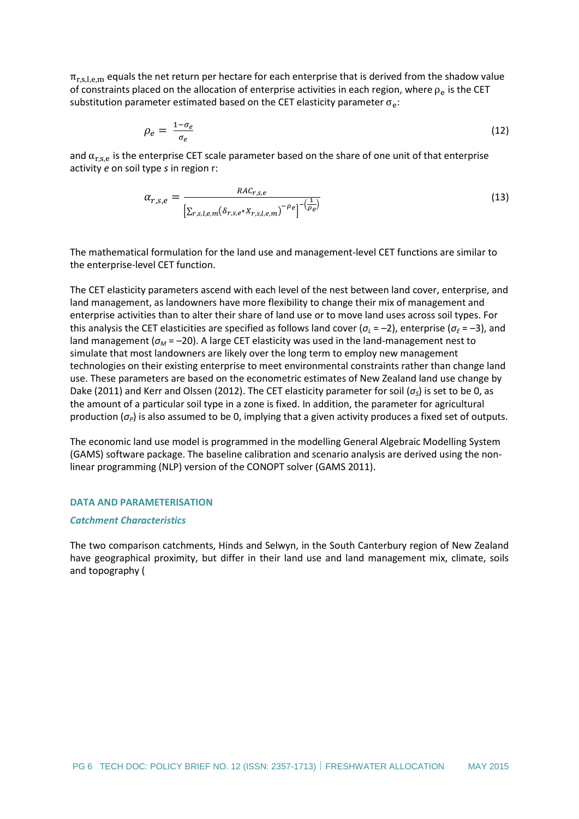$\pi_{r,s,l,e,m}$  equals the net return per hectare for each enterprise that is derived from the shadow value of constraints placed on the allocation of enterprise activities in each region, where  $\rho_e$  is the CET substitution parameter estimated based on the CET elasticity parameter  $\sigma_e$ :

$$
\rho_e = \frac{1 - \sigma_e}{\sigma_e} \tag{12}
$$

and  $\alpha_{r,s,e}$  is the enterprise CET scale parameter based on the share of one unit of that enterprise activity *e* on soil type *s* in region r:

$$
\alpha_{r,s,e} = \frac{RAC_{r,s,e}}{\left[\sum_{r,s,l,e,m} (\delta_{r,s,e} * X_{r,s,l,e,m})^{-\rho_e}\right]^{-\left(\frac{1}{\rho_e}\right)}}
$$
(13)

The mathematical formulation for the land use and management-level CET functions are similar to the enterprise-level CET function.

The CET elasticity parameters ascend with each level of the nest between land cover, enterprise, and land management, as landowners have more flexibility to change their mix of management and enterprise activities than to alter their share of land use or to move land uses across soil types. For this analysis the CET elasticities are specified as follows land cover ( $\sigma_L = -2$ ), enterprise ( $\sigma_E = -3$ ), and land management (*σ<sup>M</sup>* = –20). A large CET elasticity was used in the land-management nest to simulate that most landowners are likely over the long term to employ new management technologies on their existing enterprise to meet environmental constraints rather than change land use. These parameters are based on the econometric estimates of New Zealand land use change by Dake (2011) and Kerr and Olssen (2012). The CET elasticity parameter for soil (*σS*) is set to be 0, as the amount of a particular soil type in a zone is fixed. In addition, the parameter for agricultural production (*σP*) is also assumed to be 0, implying that a given activity produces a fixed set of outputs.

The economic land use model is programmed in the modelling General Algebraic Modelling System (GAMS) software package. The baseline calibration and scenario analysis are derived using the nonlinear programming (NLP) version of the CONOPT solver (GAMS 2011).

#### <span id="page-5-0"></span>**DATA AND PARAMETERISATION**

#### <span id="page-5-1"></span>*Catchment Characteristics*

The two comparison catchments, Hinds and Selwyn, in the South Canterbury region of New Zealand have geographical proximity, but differ in their [land use and land management mix, climate, soils](#page-6-0)  and topography (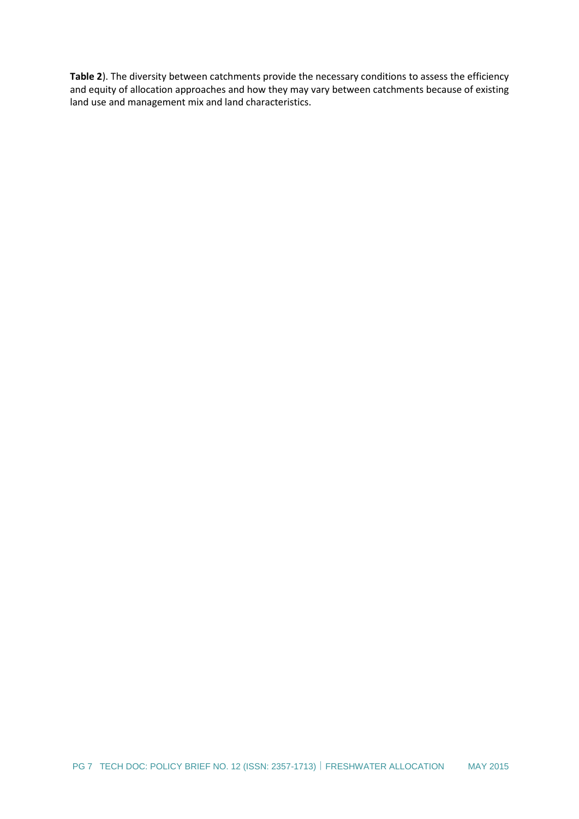<span id="page-6-0"></span>**[Table](#page-6-0) 2**). The diversity between catchments provide the necessary conditions to assess the efficiency and equity of allocation approaches and how they may vary between catchments because of existing land use and management mix and land characteristics.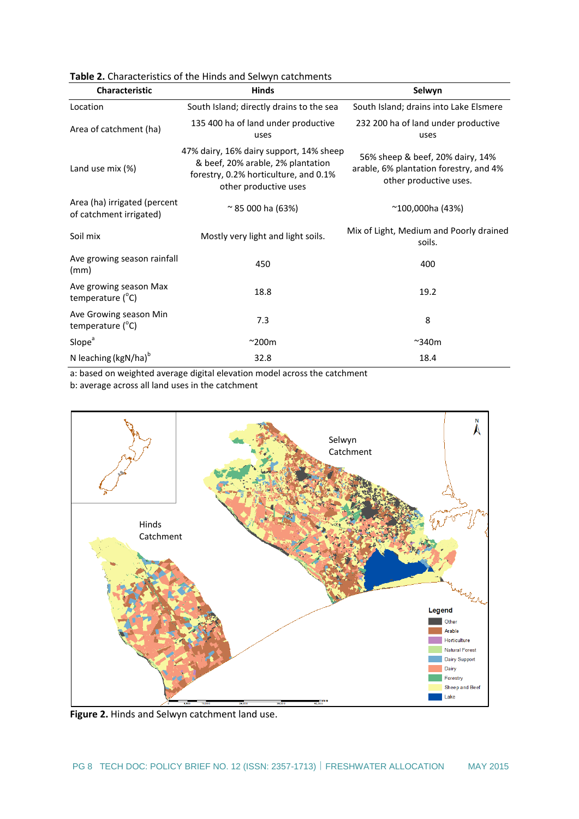| <b>Characteristic</b>                                   | <b>Hinds</b>                                                                                                                                   | Selwyn                                                                                               |  |  |
|---------------------------------------------------------|------------------------------------------------------------------------------------------------------------------------------------------------|------------------------------------------------------------------------------------------------------|--|--|
| Location                                                | South Island; directly drains to the sea                                                                                                       | South Island; drains into Lake Elsmere                                                               |  |  |
| Area of catchment (ha)                                  | 135 400 ha of land under productive<br>uses                                                                                                    | 232 200 ha of land under productive<br>uses                                                          |  |  |
| Land use mix (%)                                        | 47% dairy, 16% dairy support, 14% sheep<br>& beef, 20% arable, 2% plantation<br>forestry, 0.2% horticulture, and 0.1%<br>other productive uses | 56% sheep & beef, 20% dairy, 14%<br>arable, 6% plantation forestry, and 4%<br>other productive uses. |  |  |
| Area (ha) irrigated (percent<br>of catchment irrigated) | $\approx$ 85 000 ha (63%)                                                                                                                      | $^{\sim}100,000$ ha (43%)                                                                            |  |  |
| Soil mix                                                | Mostly very light and light soils.                                                                                                             | Mix of Light, Medium and Poorly drained<br>soils.                                                    |  |  |
| Ave growing season rainfall<br>(mm)                     | 450                                                                                                                                            | 400                                                                                                  |  |  |
| Ave growing season Max<br>temperature $(^{\circ}C)$     | 18.8                                                                                                                                           | 19.2                                                                                                 |  |  |
| Ave Growing season Min<br>temperature $(^{\circ}C)$     | 7.3                                                                                                                                            | 8                                                                                                    |  |  |
| Slope <sup>ª</sup>                                      | $^{\sim}$ 200m                                                                                                                                 | $~\sim$ 340m                                                                                         |  |  |
| N leaching $\left(kgN/ha\right)^{6}$                    | 32.8                                                                                                                                           | 18.4                                                                                                 |  |  |

**Table 2.** Characteristics of the Hinds and Selwyn catchments

a: based on weighted average digital elevation model across the catchment

b: average across all land uses in the catchment



**Figure 2.** Hinds and Selwyn catchment land use.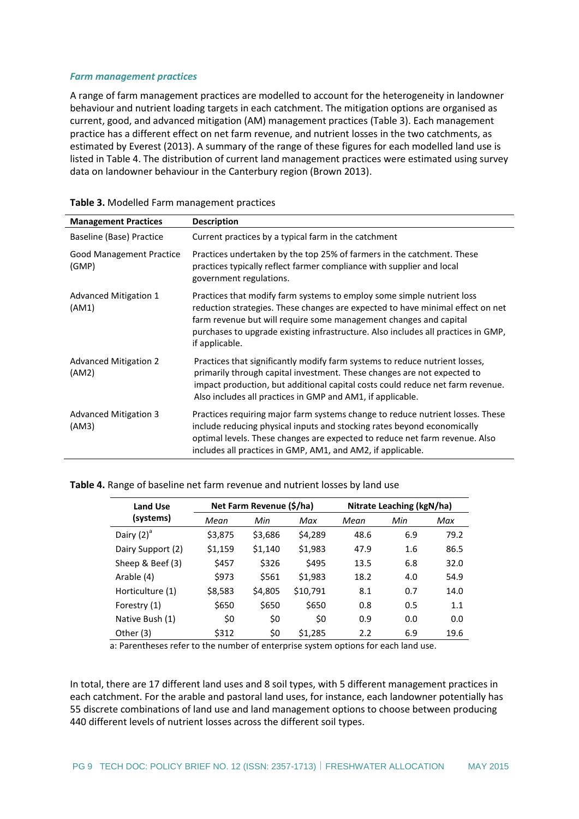#### <span id="page-8-0"></span>*Farm management practices*

A range of farm management practices are modelled to account for the heterogeneity in landowner behaviour and nutrient loading targets in each catchment. The mitigation options are organised as current, good, and advanced mitigation (AM) management practices [\(Table 3\)](#page-8-1). Each management practice has a different effect on net farm revenue, and nutrient losses in the two catchments, as estimated by Everest (2013). A summary of the range of these figures for each modelled land use is listed in [Table 4.](#page-8-2) The distribution of current land management practices were estimated using survey data on landowner behaviour in the Canterbury region (Brown 2013).

| <b>Management Practices</b>              | <b>Description</b>                                                                                                                                                                                                                                                                                                                   |
|------------------------------------------|--------------------------------------------------------------------------------------------------------------------------------------------------------------------------------------------------------------------------------------------------------------------------------------------------------------------------------------|
| Baseline (Base) Practice                 | Current practices by a typical farm in the catchment                                                                                                                                                                                                                                                                                 |
| <b>Good Management Practice</b><br>(GMP) | Practices undertaken by the top 25% of farmers in the catchment. These<br>practices typically reflect farmer compliance with supplier and local<br>government regulations.                                                                                                                                                           |
| Advanced Mitigation 1<br>(AM1)           | Practices that modify farm systems to employ some simple nutrient loss<br>reduction strategies. These changes are expected to have minimal effect on net<br>farm revenue but will require some management changes and capital<br>purchases to upgrade existing infrastructure. Also includes all practices in GMP,<br>if applicable. |
| <b>Advanced Mitigation 2</b><br>(AM2)    | Practices that significantly modify farm systems to reduce nutrient losses,<br>primarily through capital investment. These changes are not expected to<br>impact production, but additional capital costs could reduce net farm revenue.<br>Also includes all practices in GMP and AM1, if applicable.                               |
| Advanced Mitigation 3<br>(AM3)           | Practices requiring major farm systems change to reduce nutrient losses. These<br>include reducing physical inputs and stocking rates beyond economically<br>optimal levels. These changes are expected to reduce net farm revenue. Also<br>includes all practices in GMP, AM1, and AM2, if applicable.                              |

<span id="page-8-1"></span>

| Table 3. Modelled Farm management practices |  |  |
|---------------------------------------------|--|--|
|---------------------------------------------|--|--|

#### <span id="page-8-2"></span>**Table 4.** Range of baseline net farm revenue and nutrient losses by land use

| <b>Land Use</b>   |         | Net Farm Revenue (\$/ha) |          |      | Nitrate Leaching (kgN/ha) |      |
|-------------------|---------|--------------------------|----------|------|---------------------------|------|
| (systems)         | Mean    | Min                      | Max      | Mean | Min                       | Max  |
| Dairy $(2)^a$     | \$3,875 | \$3,686                  | \$4,289  | 48.6 | 6.9                       | 79.2 |
| Dairy Support (2) | \$1,159 | \$1,140                  | \$1,983  | 47.9 | 1.6                       | 86.5 |
| Sheep & Beef (3)  | \$457   | \$326                    | \$495    | 13.5 | 6.8                       | 32.0 |
| Arable (4)        | \$973   | \$561                    | \$1,983  | 18.2 | 4.0                       | 54.9 |
| Horticulture (1)  | \$8,583 | \$4,805                  | \$10,791 | 8.1  | 0.7                       | 14.0 |
| Forestry (1)      | \$650   | \$650                    | \$650    | 0.8  | 0.5                       | 1.1  |
| Native Bush (1)   | \$0     | \$0                      | \$0      | 0.9  | 0.0                       | 0.0  |
| Other (3)         | \$312   | \$0                      | \$1,285  | 2.2  | 6.9                       | 19.6 |

a: Parentheses refer to the number of enterprise system options for each land use.

In total, there are 17 different land uses and 8 soil types, with 5 different management practices in each catchment. For the arable and pastoral land uses, for instance, each landowner potentially has 55 discrete combinations of land use and land management options to choose between producing 440 different levels of nutrient losses across the different soil types.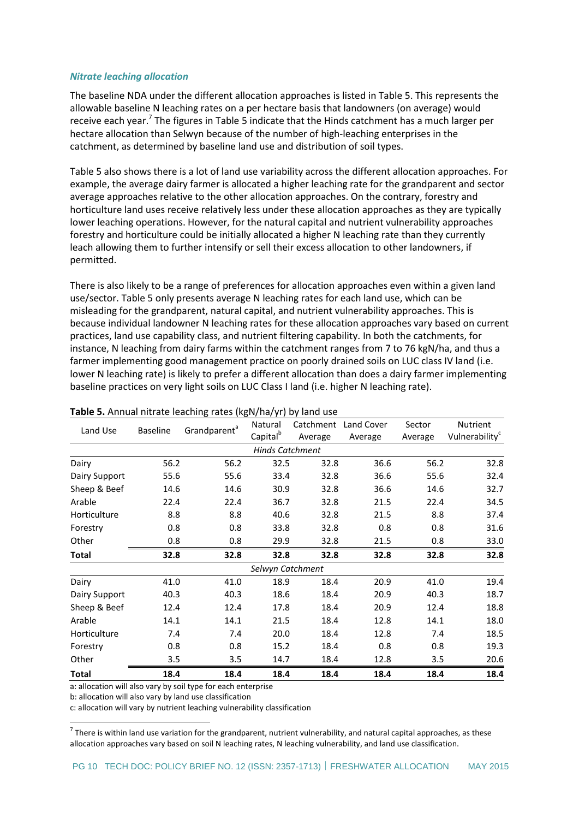#### <span id="page-9-0"></span>*Nitrate leaching allocation*

The baseline NDA under the different allocation approaches is listed in Table 5. This represents the allowable baseline N leaching rates on a per hectare basis that landowners (on average) would receive each year.<sup>7</sup> The figures in Table 5 indicate that the Hinds catchment has a much larger per hectare allocation than Selwyn because of the number of high-leaching enterprises in the catchment, as determined by baseline land use and distribution of soil types.

Table 5 also shows there is a lot of land use variability across the different allocation approaches. For example, the average dairy farmer is allocated a higher leaching rate for the grandparent and sector average approaches relative to the other allocation approaches. On the contrary, forestry and horticulture land uses receive relatively less under these allocation approaches as they are typically lower leaching operations. However, for the natural capital and nutrient vulnerability approaches forestry and horticulture could be initially allocated a higher N leaching rate than they currently leach allowing them to further intensify or sell their excess allocation to other landowners, if permitted.

There is also likely to be a range of preferences for allocation approaches even within a given land use/sector. Table 5 only presents average N leaching rates for each land use, which can be misleading for the grandparent, natural capital, and nutrient vulnerability approaches. This is because individual landowner N leaching rates for these allocation approaches vary based on current practices, land use capability class, and nutrient filtering capability. In both the catchments, for instance, N leaching from dairy farms within the catchment ranges from 7 to 76 kgN/ha, and thus a farmer implementing good management practice on poorly drained soils on LUC class IV land (i.e. lower N leaching rate) is likely to prefer a different allocation than does a dairy farmer implementing baseline practices on very light soils on LUC Class I land (i.e. higher N leaching rate).

| Land Use               | <b>Baseline</b> | Grandparent <sup>a</sup> | Natural              | Catchment | Land Cover | Sector  | Nutrient      |  |
|------------------------|-----------------|--------------------------|----------------------|-----------|------------|---------|---------------|--|
|                        |                 |                          | Capital <sup>b</sup> | Average   | Average    | Average | Vulnerability |  |
| <b>Hinds Catchment</b> |                 |                          |                      |           |            |         |               |  |
| Dairy                  | 56.2            | 56.2                     | 32.5                 | 32.8      | 36.6       | 56.2    | 32.8          |  |
| Dairy Support          | 55.6            | 55.6                     | 33.4                 | 32.8      | 36.6       | 55.6    | 32.4          |  |
| Sheep & Beef           | 14.6            | 14.6                     | 30.9                 | 32.8      | 36.6       | 14.6    | 32.7          |  |
| Arable                 | 22.4            | 22.4                     | 36.7                 | 32.8      | 21.5       | 22.4    | 34.5          |  |
| Horticulture           | 8.8             | 8.8                      | 40.6                 | 32.8      | 21.5       | 8.8     | 37.4          |  |
| Forestry               | 0.8             | 0.8                      | 33.8                 | 32.8      | 0.8        | 0.8     | 31.6          |  |
| Other                  | 0.8             | 0.8                      | 29.9                 | 32.8      | 21.5       | 0.8     | 33.0          |  |
| <b>Total</b>           | 32.8            | 32.8                     | 32.8                 | 32.8      | 32.8       | 32.8    | 32.8          |  |
|                        |                 |                          | Selwyn Catchment     |           |            |         |               |  |
| Dairy                  | 41.0            | 41.0                     | 18.9                 | 18.4      | 20.9       | 41.0    | 19.4          |  |
| Dairy Support          | 40.3            | 40.3                     | 18.6                 | 18.4      | 20.9       | 40.3    | 18.7          |  |
| Sheep & Beef           | 12.4            | 12.4                     | 17.8                 | 18.4      | 20.9       | 12.4    | 18.8          |  |
| Arable                 | 14.1            | 14.1                     | 21.5                 | 18.4      | 12.8       | 14.1    | 18.0          |  |
| Horticulture           | 7.4             | 7.4                      | 20.0                 | 18.4      | 12.8       | 7.4     | 18.5          |  |
| Forestry               | 0.8             | 0.8                      | 15.2                 | 18.4      | 0.8        | 0.8     | 19.3          |  |
| Other                  | 3.5             | 3.5                      | 14.7                 | 18.4      | 12.8       | 3.5     | 20.6          |  |
| <b>Total</b>           | 18.4            | 18.4                     | 18.4                 | 18.4      | 18.4       | 18.4    | 18.4          |  |

#### **Table 5.** Annual nitrate leaching rates (kgN/ha/yr) by land use

a: allocation will also vary by soil type for each enterprise

b: allocation will also vary by land use classification

1

c: allocation will vary by nutrient leaching vulnerability classification

 $^7$  There is within land use variation for the grandparent, nutrient vulnerability, and natural capital approaches, as these allocation approaches vary based on soil N leaching rates, N leaching vulnerability, and land use classification.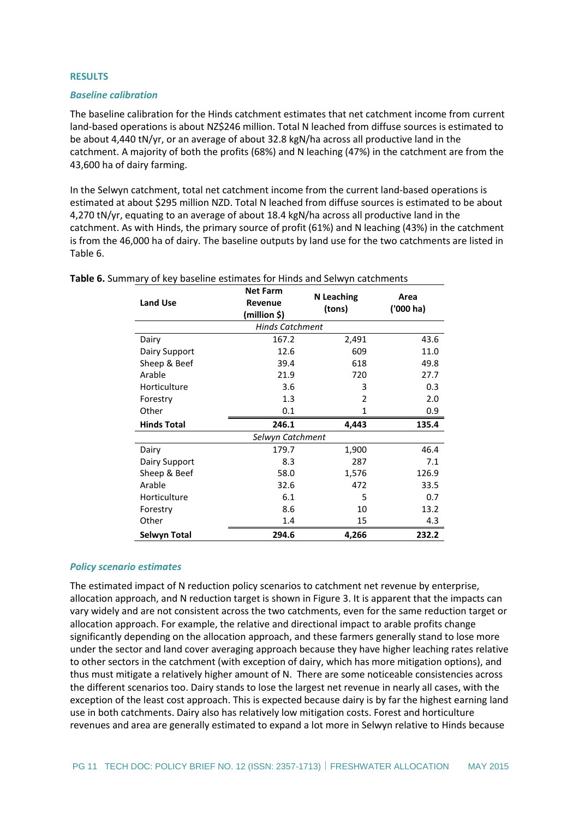#### <span id="page-10-0"></span>**RESULTS**

#### <span id="page-10-1"></span>*Baseline calibration*

The baseline calibration for the Hinds catchment estimates that net catchment income from current land-based operations is about NZ\$246 million. Total N leached from diffuse sources is estimated to be about 4,440 tN/yr, or an average of about 32.8 kgN/ha across all productive land in the catchment. A majority of both the profits (68%) and N leaching (47%) in the catchment are from the 43,600 ha of dairy farming.

In the Selwyn catchment, total net catchment income from the current land-based operations is estimated at about \$295 million NZD. Total N leached from diffuse sources is estimated to be about 4,270 tN/yr, equating to an average of about 18.4 kgN/ha across all productive land in the catchment. As with Hinds, the primary source of profit (61%) and N leaching (43%) in the catchment is from the 46,000 ha of dairy. The baseline outputs by land use for the two catchments are listed in [Table 6.](#page-10-3)

| <b>Land Use</b>        | <b>Net Farm</b><br>Revenue<br>(million \$) | <b>N</b> Leaching<br>(tons) | Area<br>('000 ha) |  |  |  |  |
|------------------------|--------------------------------------------|-----------------------------|-------------------|--|--|--|--|
| <b>Hinds Catchment</b> |                                            |                             |                   |  |  |  |  |
| Dairy                  | 167.2                                      | 2,491                       | 43.6              |  |  |  |  |
| Dairy Support          | 12.6                                       | 609                         | 11.0              |  |  |  |  |
| Sheep & Beef           | 39.4                                       | 618                         | 49.8              |  |  |  |  |
| Arable                 | 21.9                                       | 720                         | 27.7              |  |  |  |  |
| Horticulture           | 3.6                                        | 3                           | 0.3               |  |  |  |  |
| Forestry               | 1.3                                        | 2                           | 2.0               |  |  |  |  |
| Other                  | 0.1                                        | 1                           | 0.9               |  |  |  |  |
| <b>Hinds Total</b>     | 246.1                                      | 4,443                       | 135.4             |  |  |  |  |
| Selwyn Catchment       |                                            |                             |                   |  |  |  |  |
| Dairy                  | 179.7                                      | 1,900                       | 46.4              |  |  |  |  |
| Dairy Support          | 8.3                                        | 287                         | 7.1               |  |  |  |  |
| Sheep & Beef           | 58.0                                       | 1,576                       | 126.9             |  |  |  |  |
| Arable                 | 32.6                                       | 472                         | 33.5              |  |  |  |  |
| Horticulture           | 6.1                                        | 5                           | 0.7               |  |  |  |  |
| Forestry               | 8.6                                        | 10                          | 13.2              |  |  |  |  |
| Other                  | 1.4                                        | 15                          | 4.3               |  |  |  |  |
| <b>Selwyn Total</b>    | 294.6                                      | 4,266                       | 232.2             |  |  |  |  |

<span id="page-10-3"></span>**Table 6.** Summary of key baseline estimates for Hinds and Selwyn catchments

#### <span id="page-10-2"></span>*Policy scenario estimates*

The estimated impact of N reduction policy scenarios to catchment net revenue by enterprise, allocation approach, and N reduction target is shown in Figure 3. It is apparent that the impacts can vary widely and are not consistent across the two catchments, even for the same reduction target or allocation approach. For example, the relative and directional impact to arable profits change significantly depending on the allocation approach, and these farmers generally stand to lose more under the sector and land cover averaging approach because they have higher leaching rates relative to other sectors in the catchment (with exception of dairy, which has more mitigation options), and thus must mitigate a relatively higher amount of N. There are some noticeable consistencies across the different scenarios too. Dairy stands to lose the largest net revenue in nearly all cases, with the exception of the least cost approach. This is expected because dairy is by far the highest earning land use in both catchments. Dairy also has relatively low mitigation costs. Forest and horticulture revenues and area are generally estimated to expand a lot more in Selwyn relative to Hinds because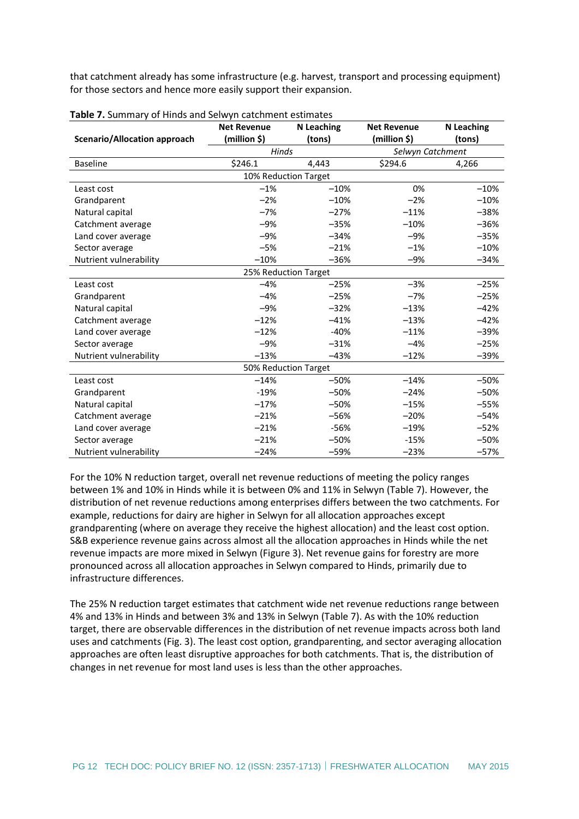that catchment already has some infrastructure (e.g. harvest, transport and processing equipment) for those sectors and hence more easily support their expansion.

|                                     | <b>Net Revenue</b> | N Leaching           | <b>Net Revenue</b> | <b>N</b> Leaching |  |
|-------------------------------------|--------------------|----------------------|--------------------|-------------------|--|
| <b>Scenario/Allocation approach</b> | (million \$)       | (tons)               | (million \$)       | (tons)            |  |
|                                     | Hinds              |                      | Selwyn Catchment   |                   |  |
| <b>Baseline</b>                     | \$246.1            | 4,443                | \$294.6            | 4,266             |  |
|                                     |                    | 10% Reduction Target |                    |                   |  |
| Least cost                          | $-1%$              | $-10%$               | 0%                 | $-10%$            |  |
| Grandparent                         | $-2%$              | $-10%$               | $-2%$              | $-10%$            |  |
| Natural capital                     | $-7%$              | $-27%$               | $-11%$             | $-38%$            |  |
| Catchment average                   | $-9%$              | $-35%$               | $-10%$             | $-36%$            |  |
| Land cover average                  | $-9%$              | $-34%$               | $-9%$              | $-35%$            |  |
| Sector average                      | $-5%$              | $-21%$               | $-1%$              | $-10%$            |  |
| Nutrient vulnerability              | $-10%$             | $-36%$               | $-9%$              | $-34%$            |  |
|                                     |                    | 25% Reduction Target |                    |                   |  |
| Least cost                          | $-4%$              | $-25%$               | $-3%$              | $-25%$            |  |
| Grandparent                         | $-4%$              | $-25%$               | $-7%$              | $-25%$            |  |
| Natural capital                     | $-9%$              | $-32%$               | $-13%$             | $-42%$            |  |
| Catchment average                   | $-12%$             | $-41%$               | $-13%$             | $-42%$            |  |
| Land cover average                  | $-12%$             | $-40%$               | $-11%$             | $-39%$            |  |
| Sector average                      | $-9%$              | $-31%$               | $-4%$              | $-25%$            |  |
| Nutrient vulnerability              | $-13%$             | $-43%$               | $-12%$             | $-39%$            |  |
|                                     |                    | 50% Reduction Target |                    |                   |  |
| Least cost                          | $-14%$             | $-50%$               | $-14%$             | $-50%$            |  |
| Grandparent                         | $-19%$             | $-50%$               | $-24%$             | $-50%$            |  |
| Natural capital                     | $-17%$             | $-50%$               | $-15%$             | $-55%$            |  |
| Catchment average                   | $-21%$             | $-56%$               | $-20%$             | $-54%$            |  |
| Land cover average                  | $-21%$             | $-56%$               | $-19%$             | $-52%$            |  |
| Sector average                      | $-21%$             | $-50%$               | $-15%$             | $-50%$            |  |
| Nutrient vulnerability              | $-24%$             | $-59%$               | $-23%$             | $-57%$            |  |

| Table 7. Summary of Hinds and Selwyn catchment estimates |  |
|----------------------------------------------------------|--|
|----------------------------------------------------------|--|

For the 10% N reduction target, overall net revenue reductions of meeting the policy ranges between 1% and 10% in Hinds while it is between 0% and 11% in Selwyn (Table 7). However, the distribution of net revenue reductions among enterprises differs between the two catchments. For example, reductions for dairy are higher in Selwyn for all allocation approaches except grandparenting (where on average they receive the highest allocation) and the least cost option. S&B experience revenue gains across almost all the allocation approaches in Hinds while the net revenue impacts are more mixed in Selwyn (Figure 3). Net revenue gains for forestry are more pronounced across all allocation approaches in Selwyn compared to Hinds, primarily due to infrastructure differences.

The 25% N reduction target estimates that catchment wide net revenue reductions range between 4% and 13% in Hinds and between 3% and 13% in Selwyn (Table 7). As with the 10% reduction target, there are observable differences in the distribution of net revenue impacts across both land uses and catchments (Fig. 3). The least cost option, grandparenting, and sector averaging allocation approaches are often least disruptive approaches for both catchments. That is, the distribution of changes in net revenue for most land uses is less than the other approaches.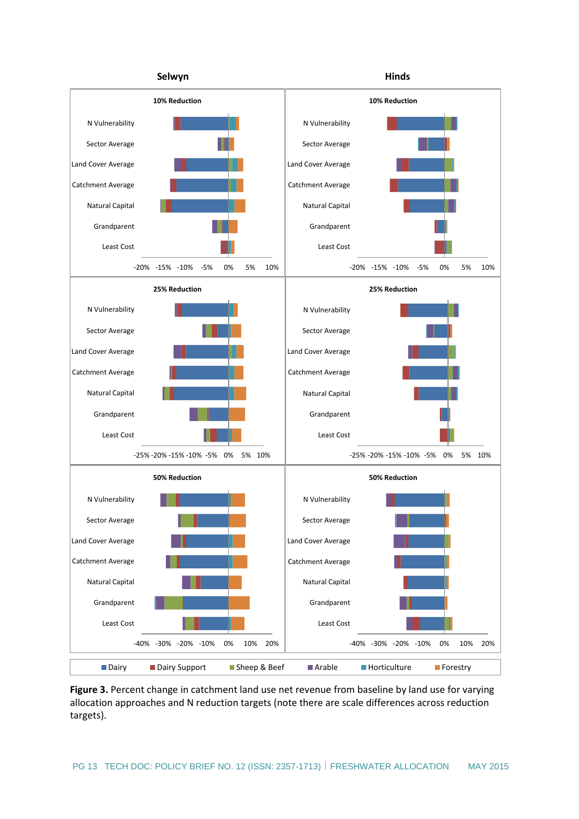

**Figure 3.** Percent change in catchment land use net revenue from baseline by land use for varying allocation approaches and N reduction targets (note there are scale differences across reduction targets).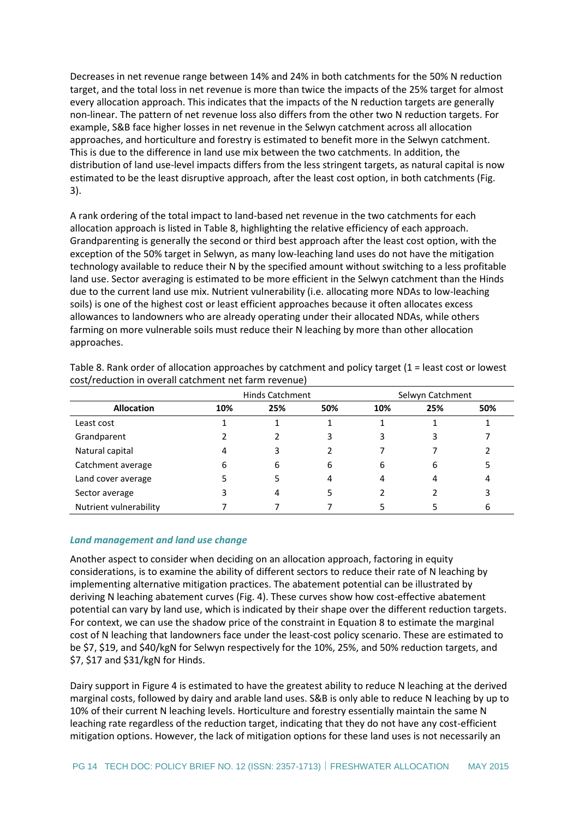Decreases in net revenue range between 14% and 24% in both catchments for the 50% N reduction target, and the total loss in net revenue is more than twice the impacts of the 25% target for almost every allocation approach. This indicates that the impacts of the N reduction targets are generally non-linear. The pattern of net revenue loss also differs from the other two N reduction targets. For example, S&B face higher losses in net revenue in the Selwyn catchment across all allocation approaches, and horticulture and forestry is estimated to benefit more in the Selwyn catchment. This is due to the difference in land use mix between the two catchments. In addition, the distribution of land use-level impacts differs from the less stringent targets, as natural capital is now estimated to be the least disruptive approach, after the least cost option, in both catchments (Fig. 3).

A rank ordering of the total impact to land-based net revenue in the two catchments for each allocation approach is listed in Table 8, highlighting the relative efficiency of each approach. Grandparenting is generally the second or third best approach after the least cost option, with the exception of the 50% target in Selwyn, as many low-leaching land uses do not have the mitigation technology available to reduce their N by the specified amount without switching to a less profitable land use. Sector averaging is estimated to be more efficient in the Selwyn catchment than the Hinds due to the current land use mix. Nutrient vulnerability (i.e. allocating more NDAs to low-leaching soils) is one of the highest cost or least efficient approaches because it often allocates excess allowances to landowners who are already operating under their allocated NDAs, while others farming on more vulnerable soils must reduce their N leaching by more than other allocation approaches.

|                        | <b>Hinds Catchment</b> |     |     | Selwyn Catchment |     |     |
|------------------------|------------------------|-----|-----|------------------|-----|-----|
| <b>Allocation</b>      | 10%                    | 25% | 50% | 10%              | 25% | 50% |
| Least cost             |                        |     |     |                  |     |     |
| Grandparent            |                        |     |     | 3                |     |     |
| Natural capital        |                        |     |     |                  |     |     |
| Catchment average      | 6                      | 6   | 6   | 6                | 6   |     |
| Land cover average     |                        |     |     | 4                |     | 4   |
| Sector average         |                        | 4   |     |                  |     | 3   |
| Nutrient vulnerability |                        |     |     |                  |     | 6   |

Table 8. Rank order of allocation approaches by catchment and policy target (1 = least cost or lowest cost/reduction in overall catchment net farm revenue)

#### <span id="page-13-0"></span>*Land management and land use change*

Another aspect to consider when deciding on an allocation approach, factoring in equity considerations, is to examine the ability of different sectors to reduce their rate of N leaching by implementing alternative mitigation practices. The abatement potential can be illustrated by deriving N leaching abatement curves (Fig. 4). These curves show how cost-effective abatement potential can vary by land use, which is indicated by their shape over the different reduction targets. For context, we can use the shadow price of the constraint in Equation 8 to estimate the marginal cost of N leaching that landowners face under the least-cost policy scenario. These are estimated to be \$7, \$19, and \$40/kgN for Selwyn respectively for the 10%, 25%, and 50% reduction targets, and \$7, \$17 and \$31/kgN for Hinds.

Dairy support in Figure 4 is estimated to have the greatest ability to reduce N leaching at the derived marginal costs, followed by dairy and arable land uses. S&B is only able to reduce N leaching by up to 10% of their current N leaching levels. Horticulture and forestry essentially maintain the same N leaching rate regardless of the reduction target, indicating that they do not have any cost-efficient mitigation options. However, the lack of mitigation options for these land uses is not necessarily an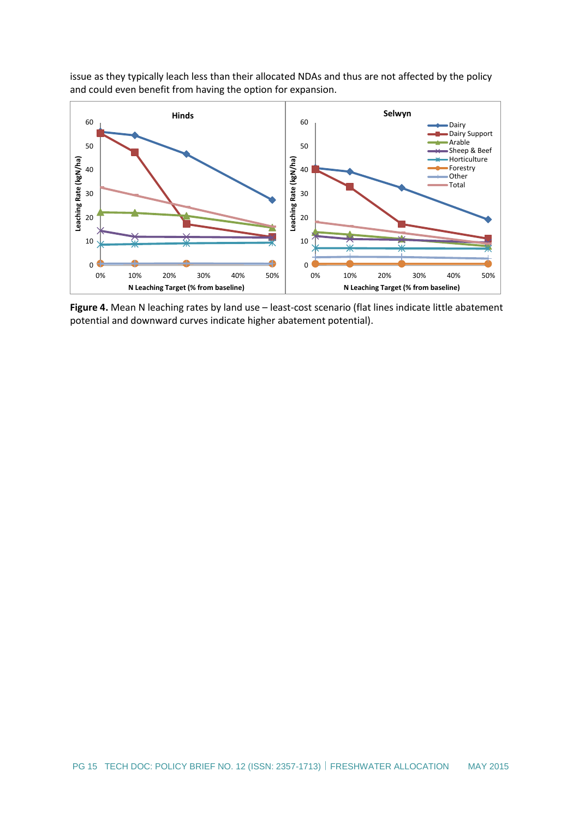

issue as they typically leach less than their allocated NDAs and thus are not affected by the policy and could even benefit from having the option for expansion.

**Figure 4.** Mean N leaching rates by land use – least-cost scenario (flat lines indicate little abatement potential and downward curves indicate higher abatement potential).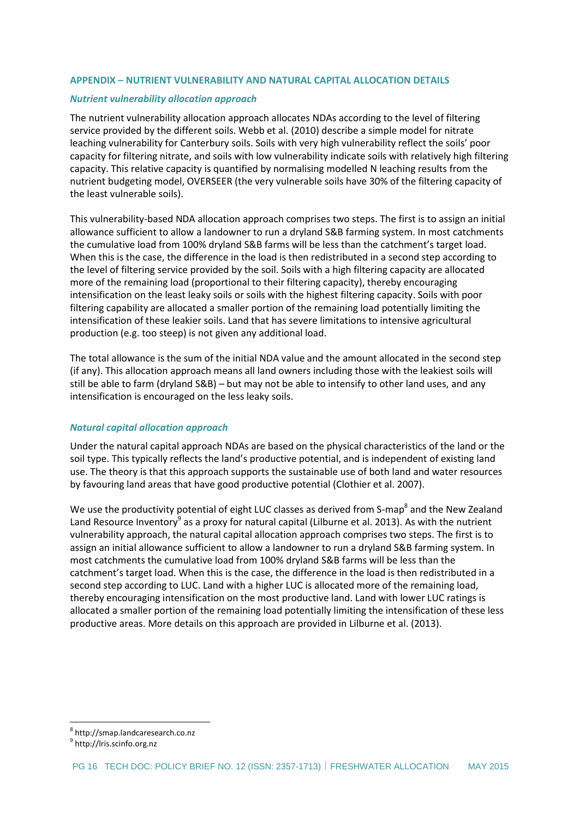### <span id="page-15-0"></span>**APPENDIX – NUTRIENT VULNERABILITY AND NATURAL CAPITAL ALLOCATION DETAILS**

#### <span id="page-15-1"></span>*Nutrient vulnerability allocation approach*

The nutrient vulnerability allocation approach allocates NDAs according to the level of filtering service provided by the different soils. Webb et al. (2010) describe a simple model for nitrate leaching vulnerability for Canterbury soils. Soils with very high vulnerability reflect the soils' poor capacity for filtering nitrate, and soils with low vulnerability indicate soils with relatively high filtering capacity. This relative capacity is quantified by normalising modelled N leaching results from the nutrient budgeting model, OVERSEER (the very vulnerable soils have 30% of the filtering capacity of the least vulnerable soils).

This vulnerability-based NDA allocation approach comprises two steps. The first is to assign an initial allowance sufficient to allow a landowner to run a dryland S&B farming system. In most catchments the cumulative load from 100% dryland S&B farms will be less than the catchment's target load. When this is the case, the difference in the load is then redistributed in a second step according to the level of filtering service provided by the soil. Soils with a high filtering capacity are allocated more of the remaining load (proportional to their filtering capacity), thereby encouraging intensification on the least leaky soils or soils with the highest filtering capacity. Soils with poor filtering capability are allocated a smaller portion of the remaining load potentially limiting the intensification of these leakier soils. Land that has severe limitations to intensive agricultural production (e.g. too steep) is not given any additional load.

The total allowance is the sum of the initial NDA value and the amount allocated in the second step (if any). This allocation approach means all land owners including those with the leakiest soils will still be able to farm (dryland S&B) – but may not be able to intensify to other land uses, and any intensification is encouraged on the less leaky soils.

#### <span id="page-15-2"></span>*Natural capital allocation approach*

Under the natural capital approach NDAs are based on the physical characteristics of the land or the soil type. This typically reflects the land's productive potential, and is independent of existing land use. The theory is that this approach supports the sustainable use of both land and water resources by favouring land areas that have good productive potential (Clothier et al. 2007).

We use the productivity potential of eight LUC classes as derived from S-map<sup>8</sup> and the New Zealand Land Resource Inventory<sup>9</sup> as a proxy for natural capital (Lilburne et al. 2013). As with the nutrient vulnerability approach, the natural capital allocation approach comprises two steps. The first is to assign an initial allowance sufficient to allow a landowner to run a dryland S&B farming system. In most catchments the cumulative load from 100% dryland S&B farms will be less than the catchment's target load. When this is the case, the difference in the load is then redistributed in a second step according to LUC. Land with a higher LUC is allocated more of the remaining load, thereby encouraging intensification on the most productive land. Land with lower LUC ratings is allocated a smaller portion of the remaining load potentially limiting the intensification of these less productive areas. More details on this approach are provided in Lilburne et al. (2013).

1

<sup>8</sup> http://smap.landcaresearch.co.nz

<sup>&</sup>lt;sup>9</sup> http://lris.scinfo.org.nz